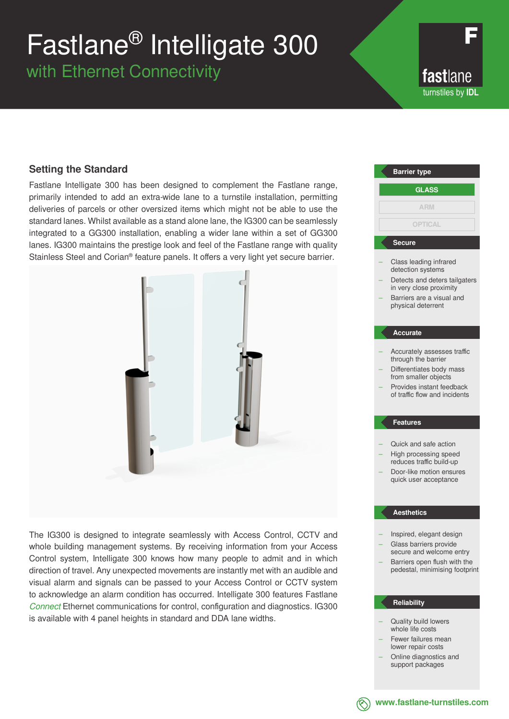# Fastlane® Intelligate 300

with Ethernet Connectivity

fastlane turnstiles by **IDL**

### **Setting the Standard**

Fastlane Intelligate 300 has been designed to complement the Fastlane range, primarily intended to add an extra-wide lane to a turnstile installation, permitting deliveries of parcels or other oversized items which might not be able to use the standard lanes. Whilst available as a stand alone lane, the IG300 can be seamlessly integrated to a GG300 installation, enabling a wider lane within a set of GG300 lanes. IG300 maintains the prestige look and feel of the Fastlane range with quality Stainless Steel and Corian® feature panels. It offers a very light yet secure barrier.



The IG300 is designed to integrate seamlessly with Access Control, CCTV and whole building management systems. By receiving information from your Access Control system, Intelligate 300 knows how many people to admit and in which direction of travel. Any unexpected movements are instantly met with an audible and visual alarm and signals can be passed to your Access Control or CCTV system to acknowledge an alarm condition has occurred. Intelligate 300 features Fastlane *Connect* Ethernet communications for control, configuration and diagnostics. IG300 is available with 4 panel heights in standard and DDA lane widths.

### Class leading infrared detection systems Detects and deters tailgaters in very close proximity – Barriers are a visual and physical deterrent – Accurately assesses traffic through the barrier – Differentiates body mass from smaller objects – Provides instant feedback of traffic flow and incidents – Quick and safe action – High processing speed reduces traffic build-up **Barrier type Secure Accurate Features GLASS ARM OPTICAL**

– Door-like motion ensures quick user acceptance

#### **Aesthetics**

- Inspired, elegant design – Glass barriers provide
- secure and welcome entry Barriers open flush with the pedestal, minimising footprint

#### **Reliability**

- Quality build lowers whole life costs
- Fewer failures mean lower repair costs
- Online diagnostics and support packages



**www.fastlane-turnstiles.com**